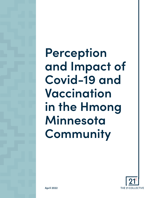**Perception and Impact of Covid-19 and Vaccination in the Hmong Minnesota Community** 

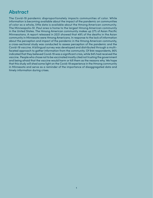# **Abstract**

The Covid-19 pandemic disproportionately impacts communities of color. While information is becoming available about the impact of the pandemic on communities of color as a whole, little data is available about the Hmong American community. The Minneapolis-St. Paul area is home to the largest Hmong American community in the United States. The Hmong American community makes up 27% of Asian Pacific Minnesotans. A report released in 2021 showed that 49% of the deaths in the Asian community in Minnesota were Hmong Americans. In response to the lack of information about the perception and impact of the pandemic in the Hmong American community, a cross-sectional study was conducted to assess perception of the pandemic and the Covid-19 vaccine. A bilingual survey was developed and distributed through a multifaceted approach to gather information from the community. Of 944 respondents, 90% indicated that they believed Covid-19 was a significant crisis, while 94% had received the vaccine. People who chose not to be vaccinated mostly cited not trusting the government and being afraid that the vaccine would harm or kill them as the reasons why. We hope that this study will shed some light on the Covid-19 experience in the Hmong community in Minnesota and serve as a reminder of the importance of disaggregated data and timely information during crises.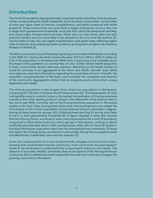### **Introduction**

The Covid-19 pandemic disproportionately impacted racial and ethnic minority groups, further compounding the health disparities faced by these communities. Communities of color saw higher rates of infection, hospitalization, and death compared with White people [1]. These communities are more likely to begin working low-income jobs, live in large multi-generational households, work jobs that cannot be performed remotely, and utilize public transportation services. Those who can stay home, often live with essential workers and are more likely to be exposed to the virus and test positive [2]. Communities of color also saw higher hospitalization and death rates, reflecting higher rates of infection and underlying health conditions, putting them at higher risk of serious illnesses if infected [3].

The Asian community is one of the fastest-growing communities in Minnesota. According to the 2020 U.S. Census, the Asian community grew 40% from 2010 to 2020. It makes up 5.2% of the population in Minnesota [4]. While data is becoming more available about the impact of the pandemic on communities of color, COVID-related health disparities in Asian communities remain relatively unknown. Reporting on the health burden of Covid-19 continues to be aggregated at the 'Asian and Pacific Islander' level. While race captures important information regarding the social determinants of health, the monolithic conceptualization of the Asian race overlooks the complexity and diversity of the community. Aggregation of data fails to recognize each community's unique experience and needs.

The Hmong population is the largest Asian American population in Minnesota, comprising 27% (81,161) of all Asian Pacific Minnesotans [5]. The Minneapolis-St. Paul metropolitan area is currently home to the highest concentration of Hmong anywhere outside of Asia after seeking political refuge in the aftermath of the Vietnam War in the mid to late 1970s. Currently, 94% of the Hmong American population in Minnesota resides in the Twin Cities. Among Asian Americans, Hmong Americans are ranked the third lowest at 23% of their population having attained at least a bachelor's degree. Among all Asian American groups, 36% of Hmong Americans (top 5) are the most likely to live in a multi-generational household [6]. A report released in early 2021 showed that the Hmong, Karen, and Karenni were more impacted by the Covid-19 pandemic compared to other Asian American ethnic groups in Minnesota. Looking at death certificate data between March 2020 and December 2020, 49% of Covid-19 deaths in the Asian Minnesotan population were from the Hmong American community. Of those that died in the Hmong, Karen, and Karenni communities, the top five occupations listed included farmer, homemaker, and machine operator [7].

Given the unique growth of a once predominantly refugee community into a fastgrowing and concentrated minority community, more community-focused research needs to be conducted to understand the unique health behavior and needs. The absence of accurate, reliable, and timely data on all aspects of the Hmong American community fails to address the health disparities that exist and continues to plague this growing community in Minnesota.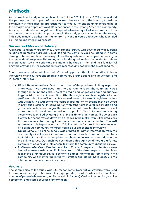# **Methods**

A cross-sectional study was completed from October 2021 to January 2022 to understand the perception and impact of the virus and the vaccine in the Hmong American community. A multi-faceted approach was carried out to enable an understanding of the breadth and depth of Covid-19 experiences in the Hmong American community. A survey was developed to gather both quantitative and qualitative information from respondents. All consented to participate in this study prior to completing the survey. This study aimed to gather information from anyone 18 years and older, who identified as Hmong and living in Minnesota.

#### **Survey and Modes of Delivery**

A bilingual (English, White Hmong, Green Hmong) survey was developed with 32 items relating to perception around Covid-19 and the Covid-19 vaccine, along with some demographic information. The survey allowed for questions to be skipped depending on the respondent's response. The survey was also designed to allow respondents to share their personal Covid-19 stories and the impact it has had on them and their families. All answers provided by the respondent were recorded and coded in the questionnaire.

The survey was delivered via a multi-faceted approach that included direct phone interviews, online surveys endorsed by community organizations and influencers, and in-person interviews.

- *• Direct Phone Interviews.* Due to the spread of the pandemic limiting in-person interviews, it was perceived that the best way to reach the community was through direct phone calls. One of the main challenges was figuring out how to get a list of contact information. After thorough research, a registered voter platform called the VAN, a privately owned voter database of registered voters was utilized. The VAN contained contact information of people that had voted in previous elections. In combination with other direct voter registration and grassroots political campaigns, this same voter database has been used to elect more than a dozen Hmong Americans to public office in Minnesota. Hmong voters were identified by using a list of the 18 Hmong last names. The voter base file was further narrowed down by zip-codes in the metro Twin Cities area since that was where the Hmong American community is concentrated. The VAN system was able to produce a list of 28,192 contacts for direct phone interviews. Five bilingual community members carried out direct phone interviews.
- *• Online Survey.* An online survey was created to gather information from the community direct phone interviews would not reach. Community members that did not have time to complete the phone interview were also directed to the online survey. Outreach was conducted through social media platforms, community leaders, and influencers to inform the community about the survey.
- *• In-Person Interviews.* Due to the spike in Covid-19, in-person interviews were limited to ensure safety and limit the spread of the virus. In-person interviews took place at an adult daycare center to gather information from elders in the community who may not be in the VAN system and did not have access to the internet to complete the online survey.

#### **Analysis**

The sample size of the study was 944 respondents. Descriptive statistics were used to summarize demographic variables (age, gender, marital status, education level, number of people in household, family household income), Covid-19 perception, vaccine perception, and trusted sources of information.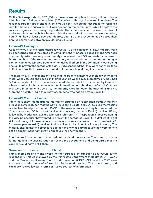# **Results**

Of the 944 respondents, 707 (75%) surveys were completed through direct phone interviews, and 237 were completed (25%) online or through in-person interviews. The response rate for direct phone interviews was 36%. We cannot ascertain the response rate for the online survey since it was opened to the community. Table 1 displays the sociodemographic for survey respondents. The survey reached an even number of males and females, with 34% between 30-39 years old. More than half were married, nearly half had at least a two-year degree, and 38% of the respondents disclosed their annual income was between \$25,000 and \$150,000.

#### **Covid-19 Perception**

A Majority (90%) of the respondents saw Covid-19 as a significant crisis. A majority were also concerned about the spread of Covid-19 in the Minnesota based Hmong American community: 74% were very or extremely concerned, and 22% somewhat concerned. More than half of the respondents were very or extremely concerned about being in contact with unvaccinated people. When asked if others in the community were doing enough to prevent the spread of the virus, 50% responded that they were not. More than half did not feel that it was safe to send children to school during the pandemic.

The majority (74%) of respondents said that the people in their household always wear a mask, while 24% said the people in their household wear a mask sometimes. Almost half (49%) responded that no one in their immediate household was infected by Covid-19, whereas 46% said that someone in their immediate household was infected. Of those that were infected with Covid-19, the majority were between the ages of 18 and 44. More than half (51%) said they knew of someone who has died from Covid-19.

#### **Covid-19 Vaccine Perception**

Table 1 also shows demographic information stratified by vaccination status. A majority of respondents (83%) felt that the Covid-19 vaccine is safe, and 79% believed the vaccine is effective. Ninety-four percent (94%) of the respondents said they had received the Covid-19 vaccine. Of those that received the vaccine, almost half (49%) received Pfizer, followed by Moderna (32%) and Johnson & Johnson (13%). Respondents reported getting the vaccine because they wanted to prevent the spread of Covid-19, didn't want to get sick, had young children or elders at home, and knew someone who died from Covid-19. Sixty-nine percent (69%) received their vaccine at a local health clinic or pharmacy. The majority shared that the process to get the vaccine was easy because they were able to get an appointment right away, or because the line was short.

There were 53 respondents who had not received the vaccine. The primary reason for not getting the vaccine was not trusting the government and being afraid that the vaccine would harm or kill them.

#### **Sources of Information and Trust**

Family members and friends were the top sources of information about Covid-19 for respondents. This was followed by the Minnesota Department of Health (MDH), work, and the Centers for Disease Control and Prevention (CDC). MDH and the CDC were the most trusted sources of information. Social media such as Tiktok, Instagram, and Facebook ranked lowest in terms of trusted sources of information.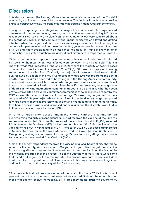### **Discussion**

This study examined the Hmong Minnesota community's perception of the Covid-19 pandemic, vaccine, and trusted information sources. The findings from this study provide a unique perspective of how the pandemic has impacted the Hmong American community.

Though not surprising for a refugee and immigrant community who has experienced generational trauma due to war, disease, and relocation, an overwhelming 90% of the respondents saw Covid-19 as a significant crisis. A majority was very concerned about the spread of Covid-19 in the community and about themselves or a loved one getting infected. While the majority stated that they were very concerned about coming into contact with people who had not been vaccinated, younger people between the ages of 18-29 and single people tend to be less concerned about it. That is in line with other reports that have stated that there are generational differences in responses to Covid-19.

Of the respondents who reported having someone in their immediate household infected by Covid-19, the majority of those infected were between 18 to 44 years old. This is in line with what MDH reported at the end of 2021, where the majority of positive cases occurred for those between the ages of 20 to 39 [8]. Of those that reported knowing someone who has died from Covid-19, the majority of those who died were in their 50s, followed by people in their 60s. Compared to what MDH was reporting, the age of death from Covid-19 appeared to be younger in the Hmong American community. There could be some recall bias, so in order to get exact statistics, more research will have to be completed by looking at actual death certificates. However, the younger age of deaths in the Hmong American community appears to be similar to what has been previously reported across the country for communities of color. In 2020, a report by the CDC showed that communities of color under age 65 were dying in greater numbers compared to White people [9]. While communities of color tend to be younger compared to White people, they also present with underlying health conditions at an earlier age, face health access barriers, and increased financial and health risks with Covid-19 due to their economic and social situations [10].

In terms of vaccination perceptions in the Hmong Minnesota community, an overwhelming majority of respondents, 94%, had received the vaccine at the time the survey was conducted. Of those that received the vaccine, almost half (49%) received Pfizer, followed by Moderna (32%) and Johnson & Johnson (13%). This is in line with the vaccination roll-out in Minnesota by MDH. As of March 2022, 60% of doses administered in Minnesota were Pfizer, 36% were Moderna, and 3.6% were Johnson & Johnson [8]. One glaring and significant reason for Hmong Minnesotans for getting the vaccine is knowing someone who died from Covid-19 (58%).

Most of the survey respondents received the vaccine at a local health clinic, pharmacy, school, or the county, with respondents 60+ years of age as likely to get their vaccine from Hmong Village compared to other locations such as their local health clinic. While the majority reported that the process to get the vaccine was easy, there were some that faced challenges. For those that reported the process was hard, reasons included: hard to make an appointment, didn't know where to find vaccine location, long lines, and having to wait until one was qualified for the vaccine.

53 respondents had not been vaccinated at the time of this study. While this is a small percentage of the respondents that were not vaccinated, it should be noted that for those that did not receive the vaccine, 34% stated they did not trust the government,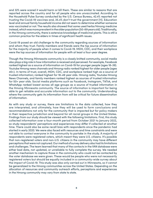and 32% were scared it would harm or kill them. These are similar to reasons that are reported across the country and for all people who are unvaccinated. According to the Household Pulse Survey conducted by the U.S. Census Bureau, 42.4% reported not trusting the Covid-19 vaccines and, 35.4% don't trust the government [11]. Education level and annual family household income did not seem to determine whether someone was vaccinated or not. The results also showed that some used herbs/Hmong medicine instead, which was more prevalent in the older population (50-69 years old). Traditionally, in the Hmong community, there is extensive knowledge of medicinal plants. This is still a common practice for the elders in times of significant health issues.

Covid-19 posed an old challenge to the community regarding sources of information and whom they trust. Family members and friends were the top source of information for the majority of people when it comes to Covid-19. MDH, CDC, and their workplace were the top sources of information for people with at least a four-year degree.

Though the Hmong Minnesota community is a closely knitted community, social media also plays a big role in how information is received and perceived. For example, Facebook ranked highest as a source of information on Covid-19 for younger people (ages 18-39). Youtube Hmong news channels and Hmong radio ranked highest for older people (ages 40+). In terms of trust, overall, MDH, CDC, and workplace ranked high as a source of trusted information; ranked highest for 18-49 year olds. Hmong radio, Youtube Hmong News Channels, and family members ranked highest as sources of trusted information for 50+ year olds. Social media platforms such as Facebook, Instagram, TikTok, and WhatsApp ranked lowest across all age groups as a source of trusted information in the Hmong Minnesota community. The source of information is important for being able to get reliable and accurate information out to the community. Understanding where the community gets its information from will be critical for future dissemination of information.

As with any study or survey, there are limitations to the data collected, how they are interpreted, and ultimately, how they will be used to form conclusions and recommendations not only for the community that is impacted but for policy makers in their respective jurisdiction and beyond for all racial groups in the United States. Findings from our study should be viewed with the following limitations. First, this study collected information over a four-month period from October 2021 to January 2022, so study respondents' perceptions and experiences may differ if collected at another time. There could also be some recall bias with respondents since the pandemic had started in early 2020. We were also faced with resources and time constraints and were not able to contact everyone in the community to partake in the study. A majority of respondents were registered voters, which meant they were U.S. citizens. It's possible that non-registered voters and non-U.S. citizens in the community may have different perceptions that were not captured. Our method of survey delivery also had its limitations and challenges. The team learned that many of the contacts in the VAN database were either bad data, not updated, or unreliable to fully complete the survey. We needed another mechanism to capture those in the community who could not be contacted by the voter database we were given. These would be people who were not necessarily registered voters but should be equally included in a community-wide survey about the impact of Covid-19. This study was also only carried out in Minnesota, so it cannot be generalized to the Hmong communities across the United States. Depending on the allocation of resources and community outreach efforts, perceptions and experiences in the Hmong community may vary from state to state.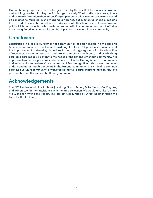One of the major questions or challenges raised by the result of this survey is how our methodology can be a turnkey tool for change in society. What, and how accurate, timely and reliable information about a specific group or population in America can and should be collected to make not just a marginal difference, but substantial change. Imagine the myriad of issues that need to be addressed, whether health, social, economic, or political. It is our hope that what we have created with this community outreach effort in the Hmong American community can be duplicated anywhere in any community.

# **Conclusion**

Disparities in disease outcomes for communities of color, including the Hmong American community are not new. If anything, the Covid-19 pandemic reminds us of the importance of addressing disparities through disaggregation of data, allocation of resources, expanding access to culturally competent health care, and establishing equitable care models relevant to the needs of the Hmong American community. It is important to note that previous studies carried out in the Hmong American community had very small sample sizes. Our sample size of 944 is a significant step towards a better understanding of health behaviors in the Hmong community. It is critical to continue carrying out future community-driven studies that will address factors that contribute to preventable health issues in the Hmong community.

# **Acknowledgements**

The 21Collective would like to thank Jay Xiong, Shoua Moua, Mike Moua, Mai Eng Lee, and Wilson Lee for their assistance with the data collection. We would also like to thank Ma Xiong for writing this report. This project was funded by Direct Relief through the Fund for Health Equity.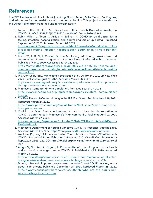### **References**

The 21Collective would like to thank Jay Xiong, Shoua Moua, Mike Moua, Mai Eng Lee, and Wilson Lee for their assistance with the data collection. This project was funded by the Direct Relief grant from the Fund for Health Equity.

- 1. Lopez L, Hart LH, Katz MH. Racial and Ethnic Health Disparities Related to COVID-19. JAMA. 2021;325(8):719–720. doi:10.1001/jama.2020.26443
- 2. Rubin-Miller L, Alban C, Artiga S, Sullivan S. COVID-19 racial disparities in testing, infection, hospitalization, and death: analysis of Epic data. Published September 16, 2020. Accessed March 26, 2022. [https://www.kff.org/coronavirus-covid-19/issue-brief/covid-19-racial](https://www.kff.org/coronavirus-covid-19/issue-brief/covid-19-racial-disparities-testing-infection-hospitalization-death-analysis-epic-patient-data/)[disparities-testing-infection-hospitalization-death-analysis-epic-patient](https://www.kff.org/coronavirus-covid-19/issue-brief/covid-19-racial-disparities-testing-infection-hospitalization-death-analysis-epic-patient-data/)[data/](https://www.kff.org/coronavirus-covid-19/issue-brief/covid-19-racial-disparities-testing-infection-hospitalization-death-analysis-epic-patient-data/)
- 3. Koma, W., A., S., N., T., Claxton, G., Rae, M., Kates, J., Michaud, J. Low-income and communities of color at higher risk of serious illness if infected with coronavirus. Published May 7, 2020. Accessed March 26, 2022. [https://www.kff.org/coronavirus-covid-19/issue-brief/low-income-and](https://www.kff.org/coronavirus-covid-19/issue-brief/low-income-and-communities-of-color-at-higher-r)[communities-of-color-at-higher-risk-of-serious-illness-if-infected-with-](https://www.kff.org/coronavirus-covid-19/issue-brief/low-income-and-communities-of-color-at-higher-r)

[coronavirus/](https://www.kff.org/coronavirus-covid-19/issue-brief/low-income-and-communities-of-color-at-higher-r)

- 4. U.S. Census Bureau. Minnesota's population at 5,706,494 in 2020, up 7.6% since 2020. Published August 25, 2021. Accessed March 26, 2022. [https://www.census.gov/library/stories/state-by-state/minnesota-population](https://www.census.gov/library/stories/state-by-state/minnesota-population-change-between-census-dec)[change-between-census-decade.html](https://www.census.gov/library/stories/state-by-state/minnesota-population-change-between-census-dec)
- 5. Minnesota Compass. Hmong population. Retrieved March 27, 2022. [https://www.mncompass.org/topics/demographics/cultural-communities/](https://www.mncompass.org/topics/demographics/cultural-communities/hmong ) [hmong](https://www.mncompass.org/topics/demographics/cultural-communities/hmong )
- 6. The Pew Research Center. Hmong in the U.S. Fact Sheet. Published April 29, 2021. Retrieved March 27, 2022. [https://www.pewresearch.org/social-trends/fact-sheet/asian-americans](https://www.pewresearch.org/social-trends/fact-sheet/asian-americans-hmong-in-the-u-s/ )[hmong-in-the-u-s/](https://www.pewresearch.org/social-trends/fact-sheet/asian-americans-hmong-in-the-u-s/ )
- 7. Coalition of Asian American Leaders. A race to close the disproportionate COVID-19 death rates in Minnesota's Asian community. Published April 27, 2021. Accessed March 27, 2022. [https://caalmn.org/wp-content/uploads/2021/04/CAAL-HPHA-Covid-Report-](https://caalmn.org/wp-content/uploads/2021/04/CAAL-HPHA-Covid-Report-Fin-041921.pdf )[Fin-041921.pdf](https://caalmn.org/wp-content/uploads/2021/04/CAAL-HPHA-Covid-Report-Fin-041921.pdf )
- 8. Minnesota Department of Health. Minnesota COVID-19 Response: Vaccine Data. Accessed March 28, 2022. https://mn.gov/covid19/vaccine/data/index.jsp
- 9. Wortham JM, Lee JT, Althomsons S, et al. Characteristics of Persons Who Died with COVID-19 — United States, February 12–May 18, 2020. MMWR Morb Mortal Wkly Rep 2020;69:923-929. DOI: http://dx.doi.org/10.15585/mmwr.mm6928e1external icon
- 10.Artiga, S., Garflied, R., Orgera, K. Communities of color at higher risk for health and economic challenges due to COVID-19. Published April 7, 2020. Accessed March 28, 2022.

[https://www.kff.org/coronavirus-covid-19/issue-brief/communities-of-color](https://www.kff.org/coronavirus-covid-19/issue-brief/communities-of-color-at-higher-risk-for-health-)[at-higher-risk-for-health-and-economic-challenges-due-to-covid-19/](https://www.kff.org/coronavirus-covid-19/issue-brief/communities-of-color-at-higher-risk-for-health-) 

11. Monte, L. Household pulse survey shows many don't trust COVID vaccine, worry about side effects. Published December 28, 2021. Retrieved March 28, 2022. [https://www.census.gov/library/stories/2021/12/who-are-the-adults-not](https://www.census.gov/library/stories/2021/12/who-are-the-adults-not-vaccinated-against-covid.html)[vaccinated-against-covid.html](https://www.census.gov/library/stories/2021/12/who-are-the-adults-not-vaccinated-against-covid.html)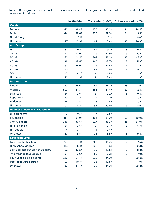Table 1. Demographic characteristics of survey respondents. Demographic characteristics are also stratified by vaccination status.

|                                      | <b>Total (N=944)</b>    |       |                         |       | Vaccinated (n=891) Not Vaccinated (n=53) |       |
|--------------------------------------|-------------------------|-------|-------------------------|-------|------------------------------------------|-------|
| Gender                               |                         |       |                         |       |                                          |       |
| Female                               | 372                     | 39.4% | 358                     | 40.2% | 14                                       | 26.4% |
| Male                                 | 374                     | 39.6% | 350                     | 39.3% | 24                                       | 45.3% |
| Non-binary                           | $\mathbf{1}$            | 0.1%  | 1                       | 0.1%  |                                          | 0.0%  |
| Unknown                              | 197                     | 20.9% | 182                     | 20.4% | 15                                       | 28.3% |
| Age Group                            |                         |       |                         |       |                                          |       |
| $18 - 24$                            | 87                      | 9.2%  | 82                      | 9.2%  | 5                                        | 9.4%  |
| $25 - 29$                            | 123                     | 13.0% | 115                     | 12.9% | $\bf 8$                                  | 15.1% |
| $30 - 39$                            | 322                     | 34.1% | 297                     | 33.3% | 25                                       | 47.2% |
| $40 - 49$                            | 146                     | 15.5% | 140                     | 15.7% | 6                                        | 11.3% |
| $50 - 59$                            | 132                     | 14.0% | 128                     | 14.4% | $\overline{\mathbf{4}}$                  | 7.5%  |
| 60-69                                | 70                      | 7.4%  | 67                      | 7.5%  | 3                                        | 5.7%  |
| $70+$                                | 42                      | 4.4%  | 41                      | 4.6%  | 1                                        | 1.9%  |
| Unknown                              | 22                      | 2.3%  | 21                      | 2.4%  | 1                                        | 1.9%  |
| <b>Marital Status</b>                |                         |       |                         |       |                                          |       |
| Single                               | 270                     | 28.6% | 252                     | 26.7% | 18                                       | 1.9%  |
| <b>Married</b>                       | 507                     | 53.7% | 485                     | 51.4% | 22                                       | 2.3%  |
| <b>Divorced</b>                      | 24                      | 2.5%  | 21                      | 2.2%  | 3                                        | 0.3%  |
| Separated                            | 10                      | 1.1%  | $\boldsymbol{9}$        | 1.0%  | 1                                        | 0.1%  |
| Widowed                              | 26                      | 2.8%  | 25                      | 2.6%  | 1                                        | 0.1%  |
| Unknown                              | 107                     | 11.3% | 99                      | 10.5% | 8                                        | 0.8%  |
| <b>Number of People in Household</b> |                         |       |                         |       |                                          |       |
| Live alone (0)                       | $\overline{7}$          | 0.7%  | $\overline{7}$          | 0.8%  |                                          |       |
| 1-5 people                           | 481                     | 51.0% | 454                     | 51.0% | 27                                       | 50.9% |
| 6 to 10 people                       | 345                     | 36.5% | 327                     | 36.7% | 18                                       | 34.0% |
| 11 to 15 people                      | 24                      | 2.5%  | 21                      | 2.4%  | $\mathbf{3}$                             | 5.7%  |
| 16+ people                           | $\overline{\mathbf{4}}$ | 0.4%  | $\overline{\mathbf{4}}$ | 0.4%  |                                          |       |
| Unknown                              | 83                      | 8.8%  | 78                      | 8.8%  | 5                                        | 9.4%  |
| <b>Education Level</b>               |                         |       |                         |       |                                          |       |
| Less than high school                | 171                     | 18.1% | 167                     | 18.7% | $\overline{\mathbf{4}}$                  | 7.5%  |
| High school degree                   | 114                     | 12.1% | 103                     | 11.6% | 11                                       | 20.8% |
| Some college but did not graduate    | 102                     | 10.8% | 96                      | 10.8% | 6                                        | 11.3% |
| Two-year college degree              | 91                      | 9.6%  | 82                      | 9.2%  | 9                                        | 17.0% |
| Four-year college degree             | 233                     | 24.7% | 222                     | 24.9% | 11                                       | 20.8% |
| Post-graduate degree                 | 97                      | 10.3% | 96                      | 10.8% | 1                                        | 1.9%  |
| Unknown                              | 136                     | 14.4% | 125                     | 14.0% | 11                                       | 20.8% |